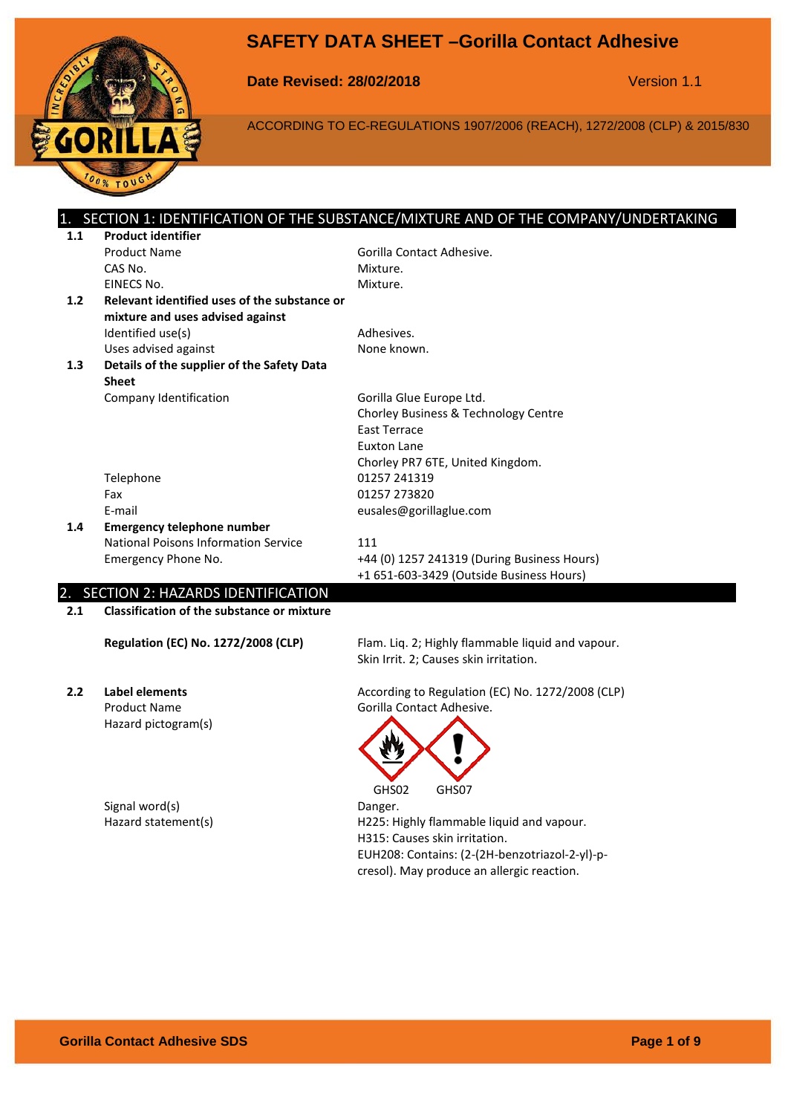



# **Date Revised: 28/02/2018** Version 1.1

٠

ACCORDING TO EC-REGULATIONS 1907/2006 (REACH), 1272/2008 (CLP) & 2015/830

|     |                                                   | SECTION 1: IDENTIFICATION OF THE SUBSTANCE/MIXTURE AND OF THE COMPANY/UNDERTAKING |
|-----|---------------------------------------------------|-----------------------------------------------------------------------------------|
| 1.1 | <b>Product identifier</b>                         |                                                                                   |
|     | <b>Product Name</b>                               | Gorilla Contact Adhesive.                                                         |
|     | CAS No.                                           | Mixture.                                                                          |
|     | EINECS No.                                        | Mixture.                                                                          |
| 1.2 | Relevant identified uses of the substance or      |                                                                                   |
|     | mixture and uses advised against                  |                                                                                   |
|     | Identified use(s)                                 | Adhesives.                                                                        |
|     | Uses advised against                              | None known.                                                                       |
| 1.3 | Details of the supplier of the Safety Data        |                                                                                   |
|     | <b>Sheet</b>                                      |                                                                                   |
|     | Company Identification                            | Gorilla Glue Europe Ltd.                                                          |
|     |                                                   | Chorley Business & Technology Centre                                              |
|     |                                                   | <b>Fast Terrace</b>                                                               |
|     |                                                   | Euxton Lane                                                                       |
|     |                                                   | Chorley PR7 6TE, United Kingdom.                                                  |
|     | Telephone                                         | 01257 241319                                                                      |
|     | Fax                                               | 01257 273820                                                                      |
|     | E-mail                                            | eusales@gorillaglue.com                                                           |
| 1.4 | <b>Emergency telephone number</b>                 |                                                                                   |
|     | National Poisons Information Service              | 111                                                                               |
|     | Emergency Phone No.                               | +44 (0) 1257 241319 (During Business Hours)                                       |
|     |                                                   | +1 651-603-3429 (Outside Business Hours)                                          |
|     | 2. SECTION 2: HAZARDS IDENTIFICATION              |                                                                                   |
| 2.1 | <b>Classification of the substance or mixture</b> |                                                                                   |
|     |                                                   |                                                                                   |
|     | <b>Regulation (EC) No. 1272/2008 (CLP)</b>        | Flam. Liq. 2; Highly flammable liquid and vapour.                                 |
|     |                                                   | Skin Irrit. 2; Causes skin irritation.                                            |
|     |                                                   |                                                                                   |
| 2.2 | Label elements                                    | According to Regulation (EC) No. 1272/2008 (CLP)                                  |
|     | <b>Product Name</b>                               | Gorilla Contact Adhesive.                                                         |
|     | Hazard pictogram(s)                               |                                                                                   |
|     |                                                   |                                                                                   |
|     |                                                   |                                                                                   |
|     |                                                   |                                                                                   |

Signal word(s) <br>
Hazard statement(s) 
Hazard statement(s) 
Hazard Statement(s)

GHS02 GHS07 H225: Highly flammable liquid and vapour. H315: Causes skin irritation. EUH208: Contains: (2-(2H-benzotriazol-2-yl)-pcresol). May produce an allergic reaction.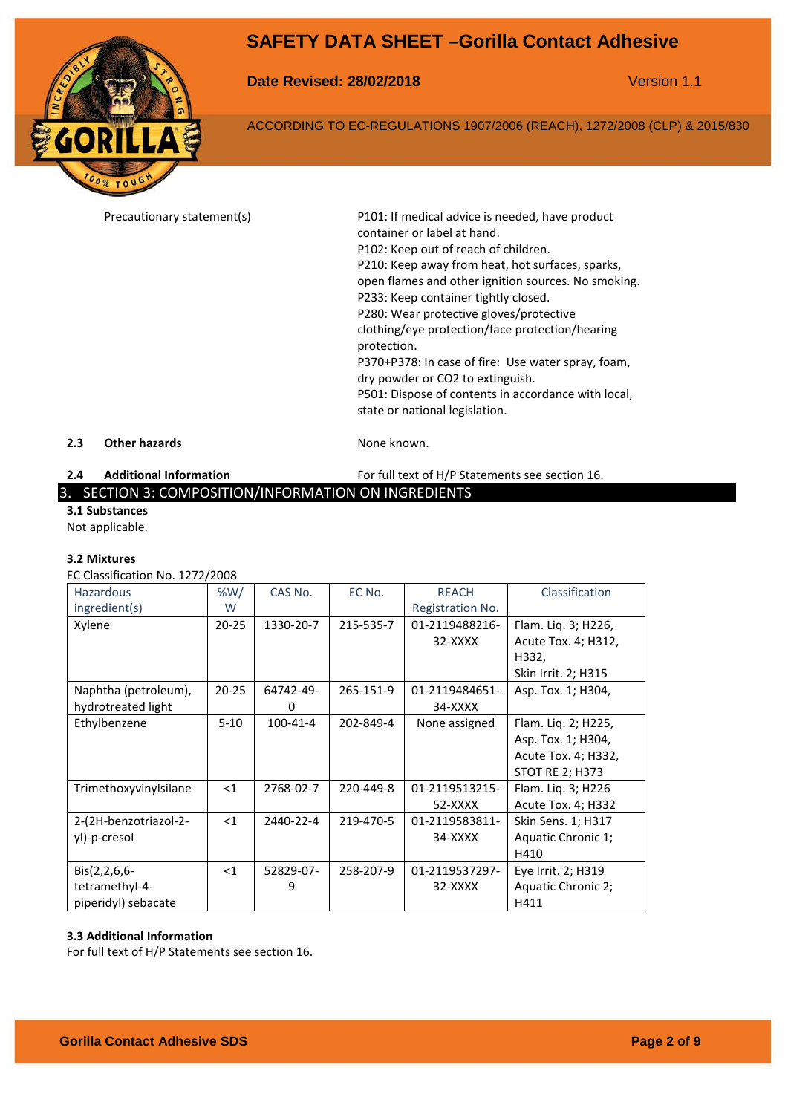

**Date Revised: 28/02/2018** Version 1.1

ACCORDING TO EC-REGULATIONS 1907/2006 (REACH), 1272/2008 (CLP) & 2015/830

Precautionary statement(s) P101: If medical advice is needed, have product container or label at hand. P102: Keep out of reach of children. P210: Keep away from heat, hot surfaces, sparks, open flames and other ignition sources. No smoking. P233: Keep container tightly closed. P280: Wear protective gloves/protective clothing/eye protection/face protection/hearing protection. P370+P378: In case of fire: Use water spray, foam, dry powder or CO2 to extinguish. P501: Dispose of contents in accordance with local, state or national legislation.

### **2.3 Other hazards None known.**

**2.4 Additional Information** For full text of H/P Statements see section 16.

3. SECTION 3: COMPOSITION/INFORMATION ON INGREDIENTS

**3.1 Substances**

Not applicable.

#### **3.2 Mixtures**

EC Classification No. 1272/2008

| <b>Hazardous</b>      | %W/       | CAS No.        | EC No.    | <b>REACH</b>     | Classification         |
|-----------------------|-----------|----------------|-----------|------------------|------------------------|
| ingredient(s)         | W         |                |           | Registration No. |                        |
| Xylene                | $20 - 25$ | 1330-20-7      | 215-535-7 | 01-2119488216-   | Flam. Liq. 3; H226,    |
|                       |           |                |           | $32-XXXX$        | Acute Tox. 4; H312,    |
|                       |           |                |           |                  | H332,                  |
|                       |           |                |           |                  | Skin Irrit. 2; H315    |
| Naphtha (petroleum),  | $20 - 25$ | 64742-49-      | 265-151-9 | 01-2119484651-   | Asp. Tox. 1; H304,     |
| hydrotreated light    |           | 0              |           | 34-XXXX          |                        |
| Ethylbenzene          | $5 - 10$  | $100 - 41 - 4$ | 202-849-4 | None assigned    | Flam. Liq. 2; H225,    |
|                       |           |                |           |                  | Asp. Tox. 1; H304,     |
|                       |           |                |           |                  | Acute Tox. 4; H332,    |
|                       |           |                |           |                  | <b>STOT RE 2; H373</b> |
| Trimethoxyvinylsilane | $<$ 1     | 2768-02-7      | 220-449-8 | 01-2119513215-   | Flam. Liq. 3; H226     |
|                       |           |                |           | 52-XXXX          | Acute Tox. 4; H332     |
| 2-(2H-benzotriazol-2- | $<$ 1     | 2440-22-4      | 219-470-5 | 01-2119583811-   | Skin Sens. 1; H317     |
| yl)-p-cresol          |           |                |           | 34-XXXX          | Aquatic Chronic 1;     |
|                       |           |                |           |                  | H410                   |
| $Bis(2,2,6,6-$        | $<$ 1     | 52829-07-      | 258-207-9 | 01-2119537297-   | Eye Irrit. 2; H319     |
| tetramethyl-4-        |           | 9              |           | 32-XXXX          | Aquatic Chronic 2;     |
| piperidyl) sebacate   |           |                |           |                  | H411                   |

#### **3.3 Additional Information**

For full text of H/P Statements see section 16.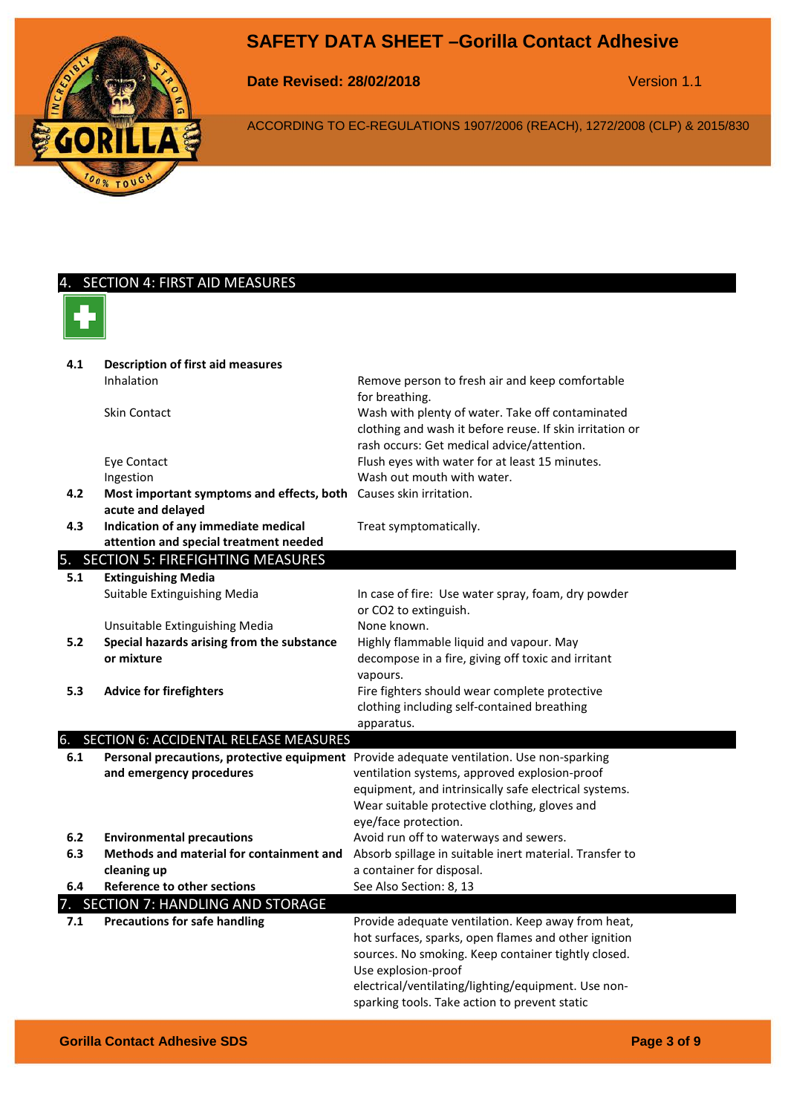

SECTION 4: FIRST AID MEASURES

**Date Revised: 28/02/2018** Version 1.1

ACCORDING TO EC-REGULATIONS 1907/2006 (REACH), 1272/2008 (CLP) & 2015/830

### **4.1 Description of first aid measures** Inhalation Remove person to fresh air and keep comfortable for breathing. Skin Contact Wash with plenty of water. Take off contaminated clothing and wash it before reuse. If skin irritation or rash occurs: Get medical advice/attention. Eye Contact Flush eyes with water for at least 15 minutes. Ingestion **Internal Wash out mouth with water. 4.2 Most important symptoms and effects, both**  Causes skin irritation. **acute and delayed 4.3 Indication of any immediate medical attention and special treatment needed** Treat symptomatically. 5. SECTION 5: FIREFIGHTING MEASURES **5.1 Extinguishing Media** Suitable Extinguishing Media **In case of fire: Use water spray, foam, dry powder** or CO2 to extinguish. Unsuitable Extinguishing Media None known. **5.2 Special hazards arising from the substance or mixture** Highly flammable liquid and vapour. May decompose in a fire, giving off toxic and irritant vapours. **5.3 Advice for firefighters Fire fighters** should wear complete protective clothing including self-contained breathing apparatus. 6. SECTION 6: ACCIDENTAL RELEASE MEASURES 6.1 Personal precautions, protective equipment Provide adequate ventilation. Use non-sparking **and emergency procedures** ventilation systems, approved explosion-proof equipment, and intrinsically safe electrical systems. Wear suitable protective clothing, gloves and eye/face protection. **6.2 Environmental precautions Avoid run off to waterways and sewers. 6.3 Methods and material for containment and cleaning up** Absorb spillage in suitable inert material. Transfer to a container for disposal. **6.4 Reference to other sections** See Also Section: 8, 13 SECTION 7: HANDLING AND STORAGE **7.1 Precautions for safe handling The Section of Provide adequate ventilation. Keep away from heat,** hot surfaces, sparks, open flames and other ignition sources. No smoking. Keep container tightly closed. Use explosion-proof electrical/ventilating/lighting/equipment. Use nonsparking tools. Take action to prevent static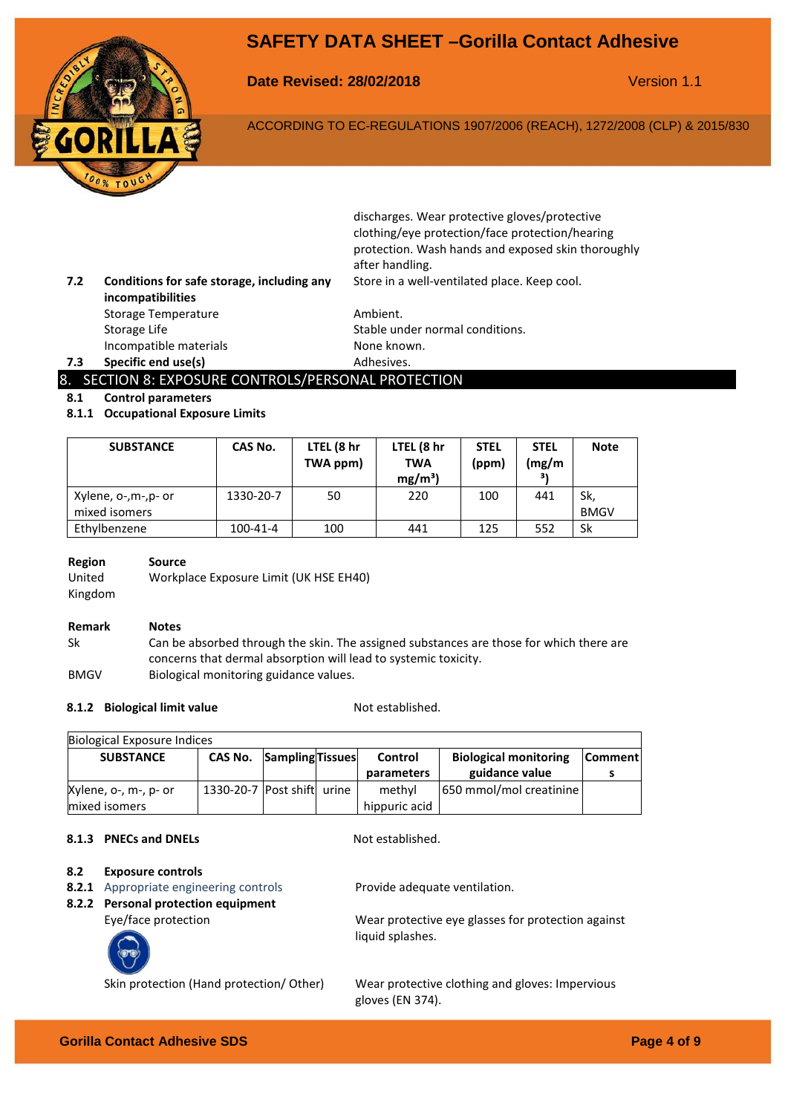

**Date Revised: 28/02/2018** Version 1.1

ACCORDING TO EC-REGULATIONS 1907/2006 (REACH), 1272/2008 (CLP) & 2015/830

| 7.2 | Conditions for safe storage, including any<br>incompatibilities | discharges. Wear protective gloves/protective<br>clothing/eye protection/face protection/hearing<br>protection. Wash hands and exposed skin thoroughly<br>after handling.<br>Store in a well-ventilated place. Keep cool. |
|-----|-----------------------------------------------------------------|---------------------------------------------------------------------------------------------------------------------------------------------------------------------------------------------------------------------------|
|     | <b>Storage Temperature</b>                                      | Ambient.                                                                                                                                                                                                                  |
|     | Storage Life                                                    | Stable under normal conditions.                                                                                                                                                                                           |
|     | Incompatible materials                                          | None known.                                                                                                                                                                                                               |

### **7.3 Specific end use(s)** Adhesives.

### 8. SECTION 8: EXPOSURE CONTROLS/PERSONAL PROTECTION

### **8.1 Control parameters**

#### **8.1.1 Occupational Exposure Limits**

| <b>SUBSTANCE</b>    | CAS No.   | LTEL (8 hr<br>TWA ppm) | LTEL (8 hr<br><b>TWA</b><br>$mg/m^3$ ) | <b>STEL</b><br>(ppm) | <b>STEL</b><br>(mg/m | <b>Note</b> |
|---------------------|-----------|------------------------|----------------------------------------|----------------------|----------------------|-------------|
| Xylene, o-,m-,p- or | 1330-20-7 | 50                     | 220                                    | 100                  | 441                  | Sk,         |
| mixed isomers       |           |                        |                                        |                      |                      | <b>BMGV</b> |
| Ethylbenzene        | 100-41-4  | 100                    | 441                                    | 125                  | 552                  | Sk          |

| Region  | Source                                 |
|---------|----------------------------------------|
| United  | Workplace Exposure Limit (UK HSE EH40) |
| Kingdom |                                        |

### **Remark Notes**

Sk Can be absorbed through the skin. The assigned substances are those for which there are concerns that dermal absorption will lead to systemic toxicity. BMGV Biological monitoring guidance values.

#### **8.1.2 Biological limit value** Not established.

| Biological Exposure Indices |                                 |  |  |                |                              |         |
|-----------------------------|---------------------------------|--|--|----------------|------------------------------|---------|
| <b>SUBSTANCE</b>            | <b>CAS No. Sampling Tissues</b> |  |  | <b>Control</b> | <b>Biological monitoring</b> | Comment |
|                             |                                 |  |  | parameters     | guidance value               |         |
| Xylene, o-, m-, p- or       | 1330-20-7 Post shift urine      |  |  | methyl         | 650 mmol/mol creatinine      |         |
| mixed isomers               |                                 |  |  | hippuric acid  |                              |         |

### **8.1.3 PNECs and DNELs** Not established.

#### **8.2 Exposure controls**

- **8.2.1** Appropriate engineering controls Provide adequate ventilation.
- **8.2.2 Personal protection equipment**



Eye/face protection Wear protective eye glasses for protection against liquid splashes.

Skin protection (Hand protection/ Other) Wear protective clothing and gloves: Impervious gloves (EN 374).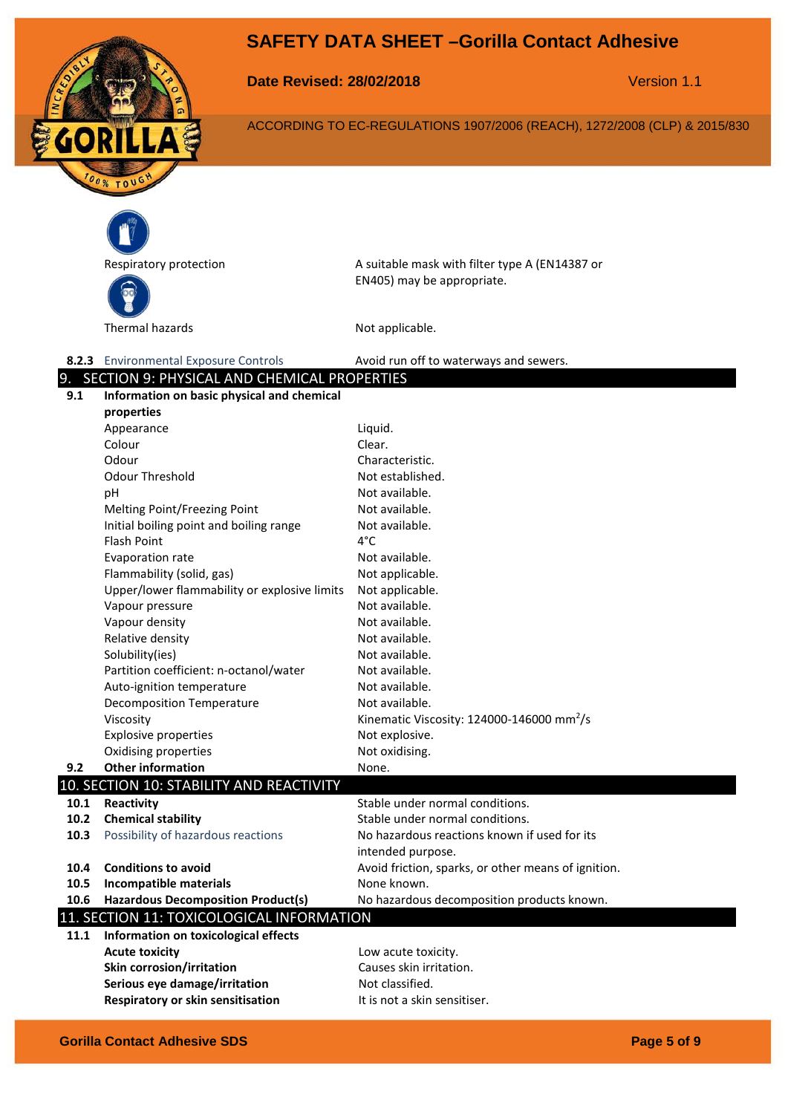

**Date Revised: 28/02/2018** Version 1.1

ACCORDING TO EC-REGULATIONS 1907/2006 (REACH), 1272/2008 (CLP) & 2015/830



Respiratory protection A suitable mask with filter type A (EN14387 or EN405) may be appropriate.

#### 8.2.3 Environmental Exposure Controls **Avoid run off to waterways and sewers.** 9. SECTION 9: PHYSICAL AND CHEMICAL PROPERTIES

| 9.1  | 2010 - 2011 - 2012 - 2014 - 2014 - 2014 - 2014 - 2014 - 2014 - 2014 - 2014 - 2014 - 2014 - 2014 - 20<br>Information on basic physical and chemical | 1101 LITTL                                                |
|------|----------------------------------------------------------------------------------------------------------------------------------------------------|-----------------------------------------------------------|
|      | properties                                                                                                                                         |                                                           |
|      | Appearance                                                                                                                                         | Liquid.                                                   |
|      | Colour                                                                                                                                             | Clear.                                                    |
|      | Odour                                                                                                                                              | Characteristic.                                           |
|      | <b>Odour Threshold</b>                                                                                                                             | Not established.                                          |
|      | pH                                                                                                                                                 | Not available.                                            |
|      | Melting Point/Freezing Point                                                                                                                       | Not available.                                            |
|      | Initial boiling point and boiling range                                                                                                            | Not available.                                            |
|      | <b>Flash Point</b>                                                                                                                                 | $4^{\circ}$ C                                             |
|      | Evaporation rate                                                                                                                                   | Not available.                                            |
|      | Flammability (solid, gas)                                                                                                                          | Not applicable.                                           |
|      | Upper/lower flammability or explosive limits                                                                                                       | Not applicable.                                           |
|      | Vapour pressure                                                                                                                                    | Not available.                                            |
|      | Vapour density                                                                                                                                     | Not available.                                            |
|      | Relative density                                                                                                                                   | Not available.                                            |
|      | Solubility(ies)                                                                                                                                    | Not available.                                            |
|      | Partition coefficient: n-octanol/water                                                                                                             | Not available.                                            |
|      | Auto-ignition temperature                                                                                                                          | Not available.                                            |
|      | <b>Decomposition Temperature</b>                                                                                                                   | Not available.                                            |
|      | Viscosity                                                                                                                                          | Kinematic Viscosity: $124000 - 146000$ mm <sup>2</sup> /s |
|      | <b>Explosive properties</b>                                                                                                                        | Not explosive.                                            |
|      | Oxidising properties                                                                                                                               | Not oxidising.                                            |
| 9.2  | <b>Other information</b>                                                                                                                           | None.                                                     |
|      | 10. SECTION 10: STABILITY AND REACTIVITY                                                                                                           |                                                           |
| 10.1 | Reactivity                                                                                                                                         | Stable under normal conditions.                           |
| 10.2 | <b>Chemical stability</b>                                                                                                                          | Stable under normal conditions.                           |
| 10.3 | Possibility of hazardous reactions                                                                                                                 | No hazardous reactions known if used for its              |
|      |                                                                                                                                                    | intended purpose.                                         |
| 10.4 | <b>Conditions to avoid</b>                                                                                                                         | Avoid friction, sparks, or other means of ignition.       |
| 10.5 | <b>Incompatible materials</b>                                                                                                                      | None known.                                               |
| 10.6 | <b>Hazardous Decomposition Product(s)</b>                                                                                                          | No hazardous decomposition products known.                |
|      | 11. SECTION 11: TOXICOLOGICAL INFORMATION                                                                                                          |                                                           |
| 11.1 | Information on toxicological effects                                                                                                               |                                                           |
|      | <b>Acute toxicity</b>                                                                                                                              | Low acute toxicity.                                       |
|      | <b>Skin corrosion/irritation</b>                                                                                                                   | Causes skin irritation.                                   |
|      | Serious eye damage/irritation                                                                                                                      | Not classified.                                           |

**Respiratory or skin sensitisation** It is not a skin sensitiser.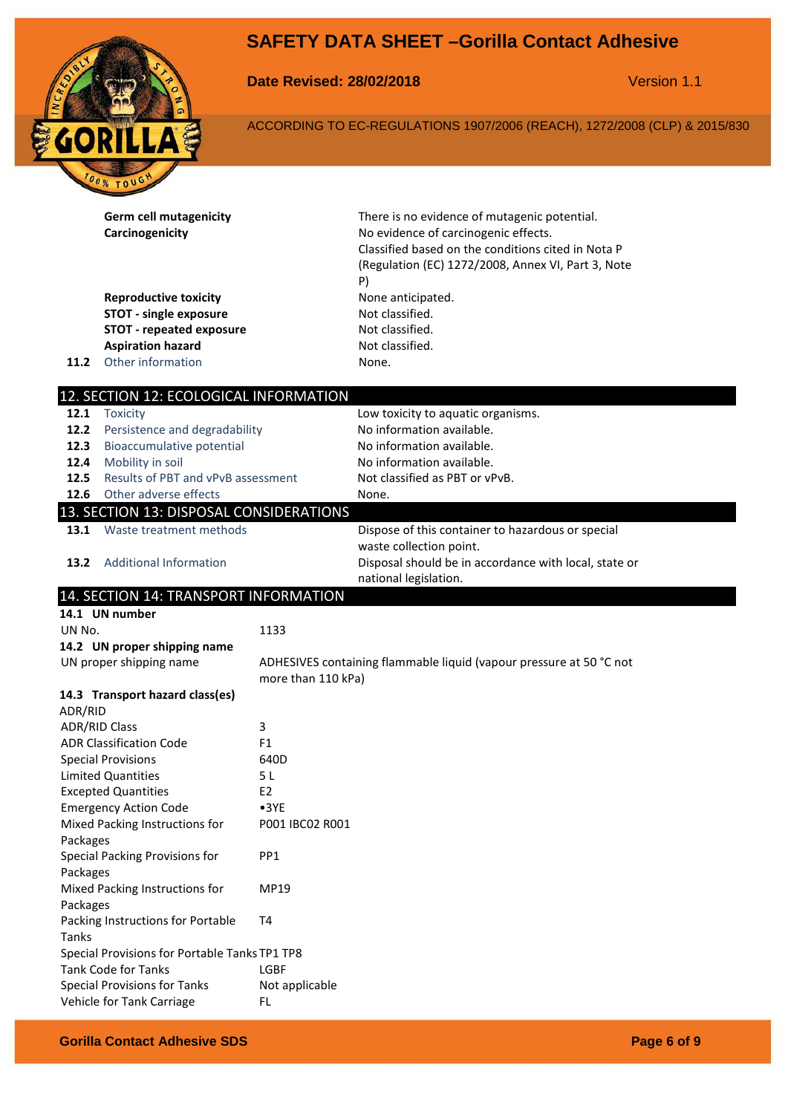

**Date Revised: 28/02/2018** Version 1.1

ACCORDING TO EC-REGULATIONS 1907/2006 (REACH), 1272/2008 (CLP) & 2015/830

**Germ cell mutagenicity** There is no evidence of mutagenic potential. **Carcinogenicity Carcinogenicity No evidence of carcinogenic effects.** Classified based on the conditions cited in Nota P (Regulation (EC) 1272/2008, Annex VI, Part 3, Note P) **Reproductive toxicity None anticipated. STOT - single exposure** Not classified. **STOT - repeated exposure** Not classified. **Aspiration hazard** Not classified. **11.2** Other information None. 12. SECTION 12: ECOLOGICAL INFORMATION **12.1** Toxicity **12.1** Toxicity **12.1** Toxicity **12.1** Toxicity **12.1** Toxicity **12.1** Toxicity **12.1** Toxicity **12.1** Low **12.1 12.1** Low **12.1 12.1 12.1 12.1 12.1 12.1 12.1 12.1 12.1 12.1 12.1 12. 12.2** Persistence and degradability No information available. **12.3** Bioaccumulative potential No information available. **12.4** Mobility in soil Noinformation available. **12.5** Results of PBT and vPvB assessment Not classified as PBT or vPvB. **12.6** Other adverse effects None. 13. SECTION 13: DISPOSAL CONSIDERATIONS **13.1** Waste treatment methods **Dispose of this container to hazardous or special** waste collection point. **13.2** Additional Information Disposal should be in accordance with local, state or national legislation. 14. SECTION 14: TRANSPORT INFORMATION **14.1 UN number** UN No. 1133 **14.2 UN proper shipping name** UN proper shipping name ADHESIVES containing flammable liquid (vapour pressure at 50 °C not more than 110 kPa) **14.3 Transport hazard class(es)** ADR/RID ADR/RID Class 3 ADR Classification Code F1 Special Provisions 640D Limited Quantities 5 L Excepted Quantities E2 Emergency Action Code •3YE Mixed Packing Instructions for Packages P001 IBC02 R001 Special Packing Provisions for Packages PP1 Mixed Packing Instructions for Packages MP19 Packing Instructions for Portable Tanks T4 Special Provisions for Portable Tanks TP1 TP8 Tank Code for Tanks LGBF Special Provisions for Tanks Not applicable Vehicle for Tank Carriage FL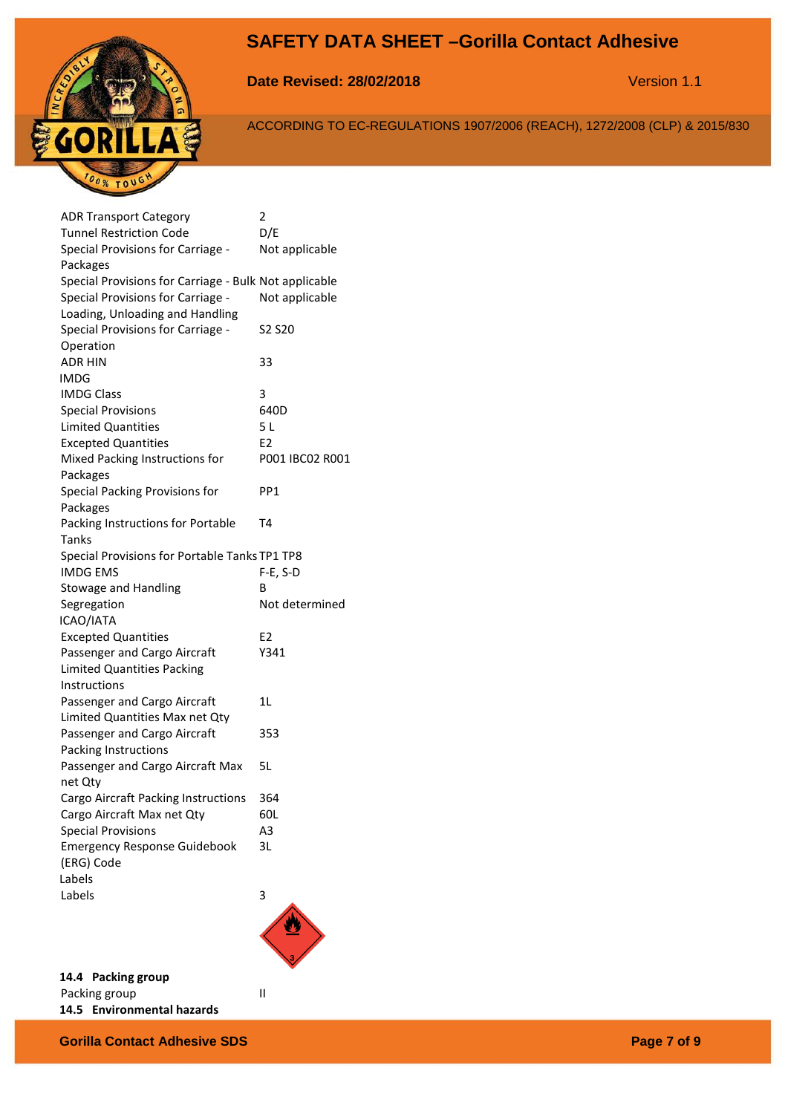

**Date Revised: 28/02/2018** Version 1.1

ACCORDING TO EC-REGULATIONS 1907/2006 (REACH), 1272/2008 (CLP) & 2015/830

| <b>ADR Transport Category</b>                         | 2               |
|-------------------------------------------------------|-----------------|
| <b>Tunnel Restriction Code</b>                        | D/E             |
| Special Provisions for Carriage -                     | Not applicable  |
| Packages                                              |                 |
| Special Provisions for Carriage - Bulk Not applicable |                 |
| Special Provisions for Carriage -                     | Not applicable  |
| Loading, Unloading and Handling                       |                 |
| Special Provisions for Carriage -                     | S2 S20          |
| Operation                                             |                 |
| <b>ADR HIN</b>                                        | 33              |
| IMDG                                                  |                 |
| <b>IMDG Class</b>                                     | 3               |
| <b>Special Provisions</b>                             | 640D            |
| <b>Limited Quantities</b>                             | 5L              |
| <b>Excepted Quantities</b>                            | E2              |
| Mixed Packing Instructions for                        | P001 IBC02 R001 |
| Packages                                              |                 |
| Special Packing Provisions for                        | PP1             |
| Packages                                              |                 |
| Packing Instructions for Portable                     | T4              |
| Tanks                                                 |                 |
| Special Provisions for Portable Tanks TP1 TP8         |                 |
| <b>IMDG EMS</b>                                       | $F-E, S-D$      |
| Stowage and Handling                                  | В               |
| Segregation                                           | Not determined  |
| ICAO/IATA                                             |                 |
| <b>Excepted Quantities</b>                            | E <sub>2</sub>  |
| Passenger and Cargo Aircraft                          | Y341            |
| Limited Quantities Packing                            |                 |
| Instructions                                          |                 |
| Passenger and Cargo Aircraft                          | 1L              |
| Limited Quantities Max net Qty                        |                 |
| Passenger and Cargo Aircraft                          | 353             |
| Packing Instructions                                  |                 |
| Passenger and Cargo Aircraft Max                      | 5L              |
| net Qty                                               |                 |
| Cargo Aircraft Packing Instructions                   | 364             |
| Cargo Aircraft Max net Qty                            | 60L             |
| <b>Special Provisions</b>                             | A3              |
| <b>Emergency Response Guidebook</b>                   | 3L              |
| (ERG) Code                                            |                 |
| Labels                                                |                 |
| Labels                                                | 3               |
|                                                       |                 |



**14.4 Packing group** Packing group **II 14.5 Environmental hazards**

**Gorilla Contact Adhesive SDS Page 7 of 9**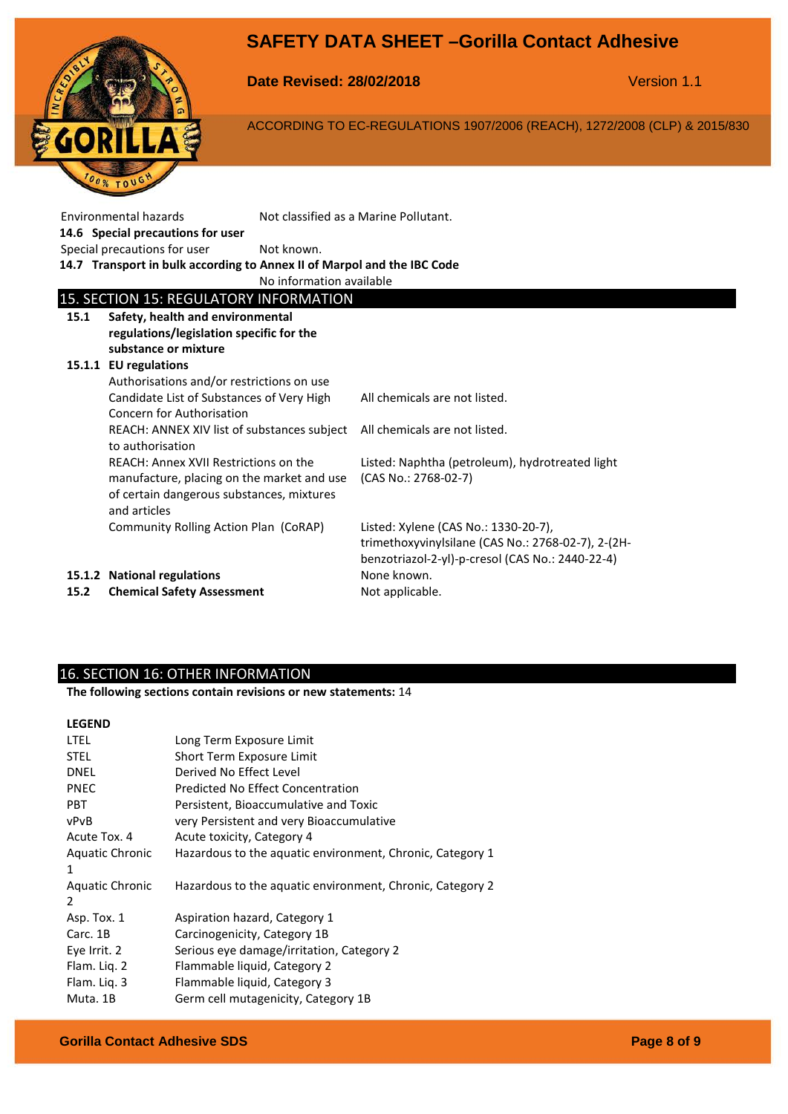

**Date Revised: 28/02/2018** Version 1.1

ACCORDING TO EC-REGULATIONS 1907/2006 (REACH), 1272/2008 (CLP) & 2015/830

| Environmental hazards<br>14.6 Special precautions for user                                                   |                                                                                         | Not classified as a Marine Pollutant.                                                                                                          |  |  |
|--------------------------------------------------------------------------------------------------------------|-----------------------------------------------------------------------------------------|------------------------------------------------------------------------------------------------------------------------------------------------|--|--|
| Special precautions for user                                                                                 | Not known.                                                                              |                                                                                                                                                |  |  |
| 14.7 Transport in bulk according to Annex II of Marpol and the IBC Code                                      |                                                                                         |                                                                                                                                                |  |  |
|                                                                                                              | No information available                                                                |                                                                                                                                                |  |  |
| 15. SECTION 15: REGULATORY INFORMATION                                                                       |                                                                                         |                                                                                                                                                |  |  |
| Safety, health and environmental<br>15.1<br>regulations/legislation specific for the<br>substance or mixture |                                                                                         |                                                                                                                                                |  |  |
| 15.1.1 EU regulations                                                                                        |                                                                                         |                                                                                                                                                |  |  |
| Authorisations and/or restrictions on use                                                                    |                                                                                         |                                                                                                                                                |  |  |
| Candidate List of Substances of Very High<br>Concern for Authorisation                                       |                                                                                         | All chemicals are not listed.                                                                                                                  |  |  |
| to authorisation                                                                                             | REACH: ANNEX XIV list of substances subject                                             | All chemicals are not listed.                                                                                                                  |  |  |
| REACH: Annex XVII Restrictions on the<br>and articles                                                        | manufacture, placing on the market and use<br>of certain dangerous substances, mixtures | Listed: Naphtha (petroleum), hydrotreated light<br>(CAS No.: 2768-02-7)                                                                        |  |  |
| Community Rolling Action Plan (CoRAP)                                                                        |                                                                                         | Listed: Xylene (CAS No.: 1330-20-7),<br>trimethoxyvinylsilane (CAS No.: 2768-02-7), 2-(2H-<br>benzotriazol-2-yl)-p-cresol (CAS No.: 2440-22-4) |  |  |
| 15.1.2 National regulations<br><b>Chemical Safety Assessment</b><br>15.2                                     |                                                                                         | None known.<br>Not applicable.                                                                                                                 |  |  |

# 16. SECTION 16: OTHER INFORMATION

**The following sections contain revisions or new statements:** 14

### **LEGEND**

| <b>LTEL</b>            | Long Term Exposure Limit                                  |
|------------------------|-----------------------------------------------------------|
| <b>STEL</b>            | Short Term Exposure Limit                                 |
| <b>DNEL</b>            | Derived No Effect Level                                   |
| <b>PNEC</b>            | Predicted No Effect Concentration                         |
| <b>PBT</b>             | Persistent, Bioaccumulative and Toxic                     |
| vPvB                   | very Persistent and very Bioaccumulative                  |
| Acute Tox. 4           | Acute toxicity, Category 4                                |
| <b>Aquatic Chronic</b> | Hazardous to the aquatic environment, Chronic, Category 1 |
| 1                      |                                                           |
| <b>Aquatic Chronic</b> | Hazardous to the aquatic environment, Chronic, Category 2 |
| 2                      |                                                           |
| Asp. Tox. 1            | Aspiration hazard, Category 1                             |
| Carc. 1B               | Carcinogenicity, Category 1B                              |
| Eye Irrit. 2           | Serious eye damage/irritation, Category 2                 |
| Flam. Lig. 2           | Flammable liquid, Category 2                              |
| Flam. Liq. 3           | Flammable liquid, Category 3                              |
| Muta. 1B               | Germ cell mutagenicity, Category 1B                       |